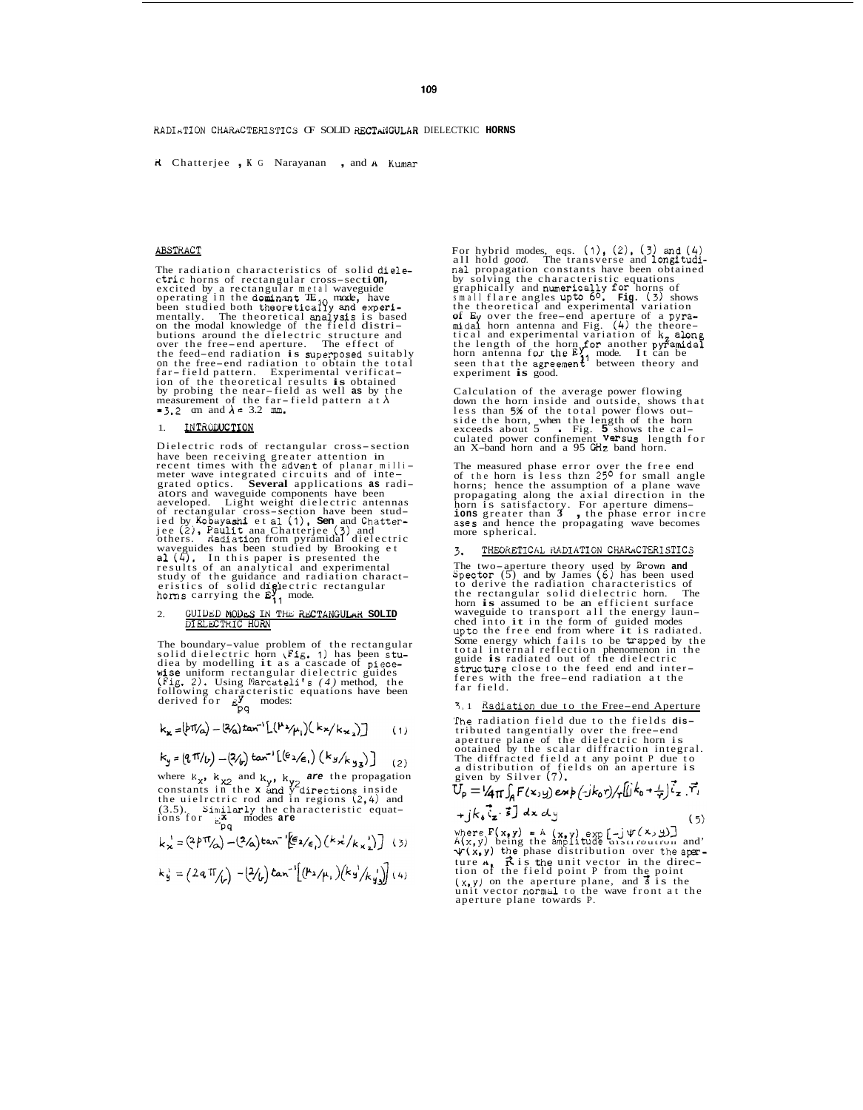109

RADIATION CHARACTERISTICS OF SOLID RECTANGULAR DIELECTKIC HORNS

R Chatterjee , K G Narayanan , and A Kumar

#### ABSTRACT

The radiation characteristics of solid diele-<br>ctric horns of rectangular cross-section,<br>excited by a rectangular metal waveguide<br>operating in the dominant  $\mathbf{TE}_{i0}$  mode, have<br>been studied both theoretical analysis is b far-field pattern. Experimental verification of the theoretical results is obtained by probing the near-field as well as by the measurement of the far-field pattern at  $\lambda$ <br>= 3.2 cm and  $\lambda$  = 3.2 cm.

#### INTRODUCTION  $\mathbf{1}$ .

Dielectric rods of rectangular cross-section place been receiving greater attention in<br>meter wave integrated circuits and of inte-<br>grated optics. Several applications as radi-<br>grated optics. Several applications as radigrated optics. **Several** applications as radi-<br>ators and waveguide components have been<br>aeveloped. Light weight dielectric antennas<br>of rectangular cross-section have been stud-<br>ied by Kobayashi et al (1), **Sen** and Chatte

#### $\overline{2}$ GUIDED MODES IN THE RECTANGULAR SOLID

The boundary-value problem of the rectangular<br>solid dielectric horn ( $F1g$ , 1) has been stu-<br>diea by modelling it as a cascade of piece-<br>wise uniform rectangular dielectric guides<br>( $Fig$ , 2). Using Marcateli's (4) method,

$$
k_{x} = (b\pi/a) - (2/a) \tan^{-1} \left[ (h^{2}/\mu_{1}) (k_{x}/k_{x}) \right] \qquad (1)
$$

$$
k_{y} = (q \pi /_{b}) - (2/_{b}) \tan^{-1} [(\epsilon_{2}/_{e}) (k_{y}/_{k_{y}}) ]
$$
 (2)

where  $k_x$ ,  $k_{X2}$  and  $k_y$ ,  $k_{y2}$  are the propagation<br>constants in the **x** and y directions inside<br>the uielrctric rod and in regions (2,4) and<br>(3.5). Similarly the characteristic equat-<br>ions for  $\sum_{p\neq q}^{K}$  modes a

$$
k_{\mathbf{x}}^{\prime} = (2\beta \pi/\gamma) - (2\gamma)\tan^{-1}\left(\frac{\epsilon}{2}\right)\left(\frac{k_{\mathbf{x}}^{\prime}}{k_{\mathbf{x}}}\right)\left(\frac{k_{\mathbf{x}}^{\prime}}{k_{\mathbf{x}}}\right)
$$
 (3)

$$
k_{\frac{1}{2}} = (2a \pi /_{\nu}) - (2/_{\nu}) \tan^{-1} [(k_{2}/\mu_{1}) (k_{3}/k_{3})] (4)
$$

For hybrid modes, eqs.  $(1)$ ,  $(2)$ ,  $(3)$  and  $(4)$ <br>all hold good. The transverse and longitudi-<br>nal propagation constants have been obtained nal propagation constants have been obtained<br>by solving the characteristic equations<br>graphically and numerically for horns of<br>small flare angles upto 6<sup>0</sup>. Fig. (5) shows<br>the theoretical and experimental variation<br>of Ey o

Calculation of the average power flowing<br>down the horn inside and outside, shows that<br>less than 5% of the total power flows out-First unity of the born, when the length of the born<br>exceeds about 5 Fig. 5 shows the calculated power confinement  $\sqrt{R}$  and  $X$ -band horn and a 95 GHz band horn.

The measured phase error over the free end<br>of the horn is less than 25<sup>0</sup> for small angle<br>horns; hence the assumption of a plane wave<br>propagating along the axial direction in the<br>horn is satisfactory. For aperture dimens-<br> ases and hence the propagating wave becomes<br>more spherical.

### THEORETICAL RADIATION CHARACTERISTICS

The two-aperture theory used by Brown and<br>Spector (5) and by James (6) has been used<br>to derive the radiation characteristics of<br>the rectangular solid dielectric horn. The<br>horn is assumed to be an efficient surface **The** non **is** assumed to be an efficient surface<br>waveguide to transport all the energy laun-<br>ched into it in the form of guided modes<br>upto the free end from where it is radiated.<br>Some energy which fails to be trapped by the total internal reflection phenomenon in<br>guide is radiated out of the dielectric the structure close to the feed end and inter-<br>feres with the free-end radiation at the<br>far field.

# 3,1 Radiation due to the Free-end Aperture

The radiation field due to the fields distributed tangentially over the free-end<br>aperture plane of the dielectric horn is<br>ootained by the scalar diffraction integral.<br>The diffracted field at any point P due to<br>a distribution of fields on an aperture is<br>given by S

$$
U_{p} = \frac{1}{4} \pi \int_{A} F(x, y) e^{i\phi} \left(\frac{1}{2} k_{0} \gamma\right) \left(\frac{1}{4} k_{0} + \frac{1}{4} \right) i_{z} \cdot \vec{r}_{1}
$$
  
+  $j k_{0} \cdot \vec{i}_{z} \cdot \vec{s}$  dx dy (5)

where  $F(x,y) = A(x,y) \exp[-j\Psi(X,y)]$ <br>  $A(x,y)$  being the amplitude distribution and<br>  $\Psi(x,y)$  the phase distribution over the aper-<br>
tion of the field point P from the point<br>  $(x,y)$  on the aperture plane, and s is the<br>  $(x,y)$  on the ape aperture plane towards P.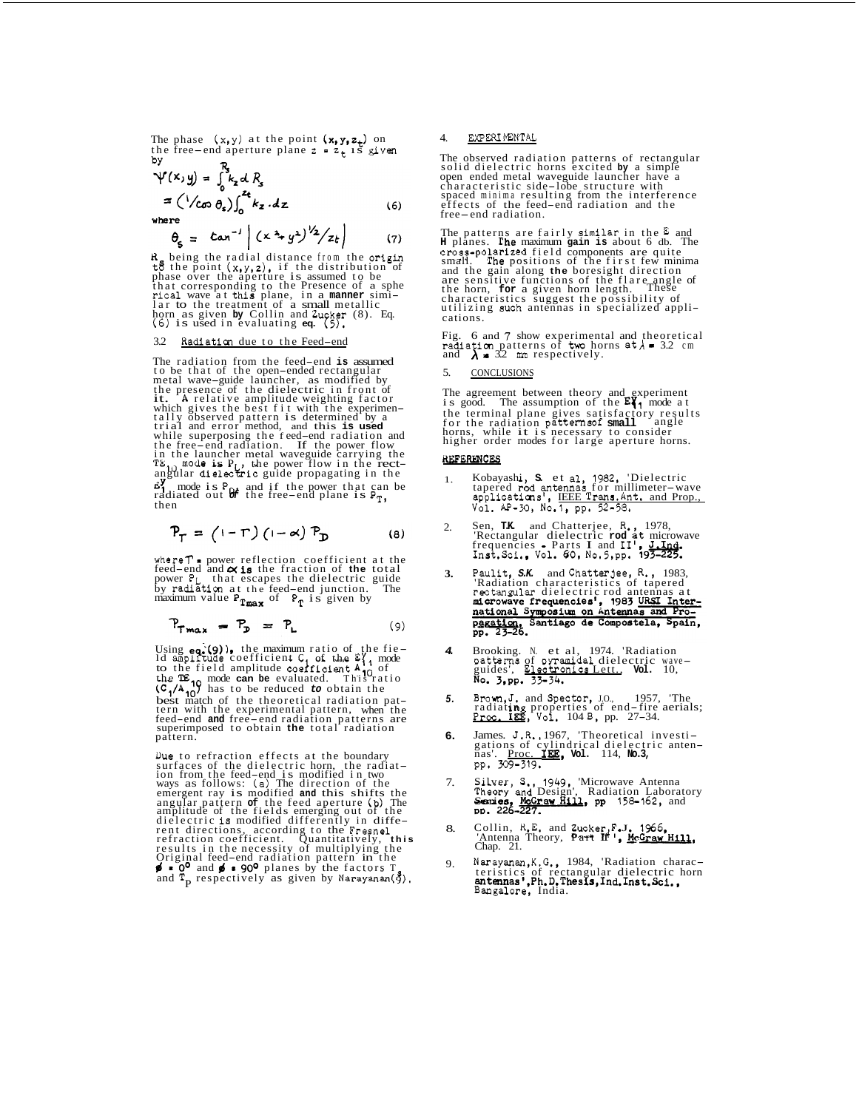The phase  $(x, y)$  at the point  $(x, y, z_t)$  on the free-end aperture plane  $z = z_+$  is given bY

$$
\Psi(x,y) = \int_0^x k_z dR_s
$$
  
=  $\left(\frac{1}{\cos \theta_s}\right) \int_0^{z_t} k_z dz$  (6)

where

$$
\theta_{\xi} = \tan^{-1} |(x^2 + y^2)^{1/2}/z_t|
$$
 (7)

 $R_{\xi}$  being the radial distance from the origin<br>to the point  $(x,y,z)$ , if the distribution of<br>phase over the aperture is assumed to be<br>that corresponding to the Presence of a sphe<br>rical wave at this plane, in a manner sim horn as given **by** Collin and Zucker (8). Eq. (6) is used in evaluating **eq.** (5).

# 3.2 Radiation due to the Feed-end

The radiation from the feed-end is assumed<br>to be that of the open-ended rectangular<br>metal wave-guide launcher, as modified by<br>the presence of the dielectric in front of<br>it. A relative amplitude weighting factor<br>which give **67** mode is  $P_{04}$  and if the power that can be radiated out  $Q_f^2$  the free-end plane is  $P_{T}$ , then

$$
P_{\Gamma} = (1 - \Gamma) (1 - \alpha) P_{\mathbf{D}} \tag{8}
$$

where  $T$  = power reflection coefficient at the feed-end and  $\alpha$  is the fraction of the total power P<sub>L</sub> that escapes the dielectric guide<br>by radiation at the feed-end junction. The<br>maximum value  $P_{T_{max}}$  of  $P_T$  is given by

$$
P_{Tmax} = P_{D} = P_{L} \tag{9}
$$

Using eq. (9)), the maximum ratio of the fie-<br>Id amplitude coefficient  $C_1$  of the  $\mathcal{E}_1$  mode<br>to the field amplitude coefficient  $A_1$  of<br>the TE n mode can be evaluated. This ratio<br> $(C_1/A_{10})$  has to be reduced to obt fern with the experimental pattern, when the<br>feed-end **and** free-end radiation patterns are<br>superimposed to obtain **the** total radiation<br>pattern. the maximum ratio of the fie-

Due to refraction effects at the boundary<br>surfaces of the dielectric horn, the radiat-<br>ion from the feed-end is modified in two<br>ways as follows: (a) The direction of the<br>emergent ray is modified and this shifts the<br>angula

## 4. EXPERIMENTAL

The observed radiation patterns of rectangular solid dielectric horns excited **by** a simple open ended metal waveguide launcher have a<br>characteristic side-lobe structure with<br>spaced minima resulting from the interference<br>effects of the feed-end radiation and the<br>free-end radiation.

The patterns are fairly similar in the **E** and **H** planes. The maximum **gain is** about 6 db. The cross-polarized field components are quite small. The positions of the first few minima and the gain along the boresight direction<br>are sensitive functions of the flare angle of<br>the horn, for a given horn length. These<br>characteristics suggest the possibility of<br>utilizing such antennas in specialized appli-<br>cat These

Fig. 6 and 7 show experimental and theoretical radiation patterns of two horns  $a t \lambda = 3.2$  cm and  $\lambda = 3.2$  mm respectively.

### 5. CONCLUSIONS

The agreement between theory and experiment<br>is good. The assumption of the  $E_{11}^{\prime}$  mode at<br>the terminal plane gives satisfactory results<br>for the radiation patterns<br>of small angle<br>horns, while it is necessary to consid angle

# **REFERENCES**

- 1. Kobayashi, S. et al, 1982, 'Dielectric<br>tapered rod antennas for millimeter-wave<br>applications', IEEE Trans. Ant, and Prop., VO~. *AP-X,* Noel, pp. 52-58.
- $\mathcal{L}$ Sen, T.K. and Chatterjee, R., 1978,<br>'Rectangular dielectric rod at microwave<br>frequencies - Parts I and I<sup>1</sup>, J.Ind.<br>Inst.Sci., Vol. 60, No.5,pp. 193-225.
- **3.**  Paulit, *S.K.* and Chatterjee, R., 1983, 'Radiation characteristics of tapered<br>rectangular dielectric rod antennas at
- *4.*  Brooking. N. et al, 1974. 'Radiation<br>patterns of oyramidal dielectric wave-<br>guides', <u>Electronics Lett.</u>, **Vol.** 10,<br>**No. 3,pp. 33-34.**
- *5.*  Brown,J. and Spector, J.O., 1957, 'The radiating properties of end-fire aerials;<br>Proc. IEE, Vol. 104 B, pp. 27-34.
- **6.**  James. J.R., 1967, 'Theoretical investi-<br>gations of cylindrical dielectric anten-<br>nas'. <u>Proc. IEE</u>, **vol.** 114, **No.3**,<br>pp. 309-319.
- 7. Silver, S., 1949, 'Microwave Antenna<br>Theory and Design', Radiation Laboratory<br>Series, Motraw Hill, pp 158-162, and
- 8. Collin, R.E. and Zucker,F.J. 1966,<br>'Antenna Theory, Part If', McGraw Hi<br>Chap. 21.
- 9. Narayanan, K.G., 1984, 'Radiation charac-<br>teristics of rectangular dielectric horn<br>**antennas',Ph.D.Thesis,Ind.Inst.Sci.,**<br>Bangalore, India.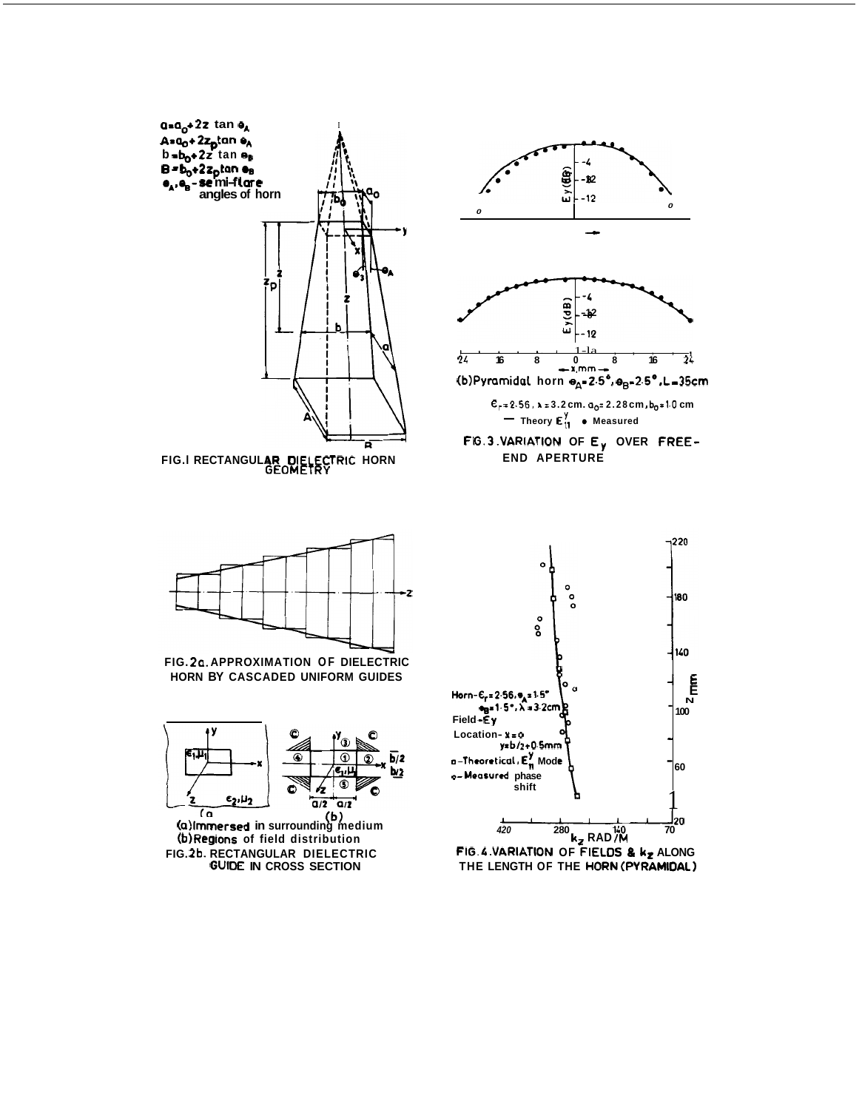

**GUIDE IN CROSS SECTION** 

FIG. 4. VARIATION OF FIELDS & kz ALONG<br>THE LENGTH OF THE HORN (PYRAMIDAL)